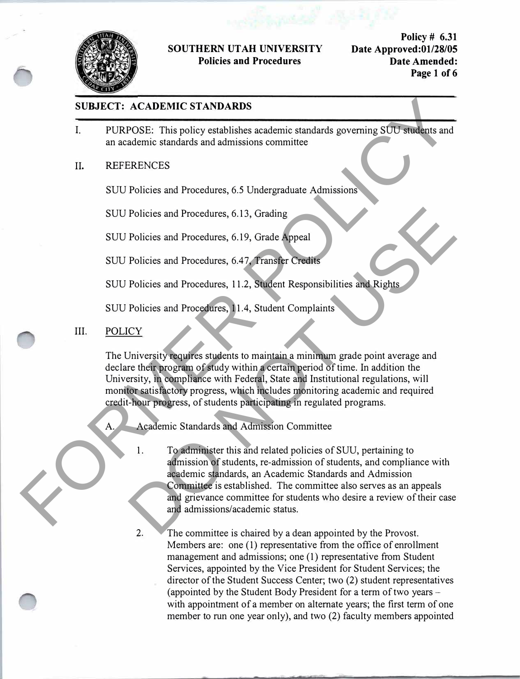

#### **SOUTHERN UT AH UNIVERSITY Policies and Procedures**

**Policy# 6.31 Date Approved:01/28/05 Date Amended: Page 1 of 6** 

#### **SUBJECT: ACADEMIC STANDARDS**

- I. PURPOSE: This policy establishes academic standards governing SUU students and an academic standards and admissions committee
- II. REFERENCES

SUU Policies and Procedures, 6.5 Undergraduate Admissions

SUU Policies and Procedures, 6.13, Grading

SUU Policies and Procedures, 6.19, Grade Appeal

SUU Policies and Procedures, 6.4 7, Transfer Credits

SUU Policies and Procedures, 11.2, Student Responsibilities and Rights

SUU Policies and Procedures, 11.4, Student Complaints

III. POLICY

The University requires students to maintain a minimum grade point average and declare their program of study within a certain period of time. In addition the University, in compliance with Federal, State and Institutional regulations, will monitor satisfactory progress, which includes monitoring academic and required credit-hour progress, of students participating in regulated programs.

A. Academic Standards and Admission Committee

- 1. To administer this and related policies of SUU, pertaining to admission of students, re-admission of students, and compliance with academic standards, an Academic Standards and Admission Committee is established. The committee also serves as an appeals and grievance committee for students who desire a review of their case and admissions/academic status. SUBJECT: ACADEMIC STANDARDS<br>
FURPOSE: This policy establishes academic standards governing SUU students and<br>
an academic standards and admissions committee<br>
II. REFERENCES<br>
SUU Policies and Procedures, 6.5 Undergraduate Ad Policies and Procedures, 6.19, Grading<br>
Policies and Procedures, 6.19, Grade Appeal<br>
Policies and Procedures, 6.47, Fransfer Credits<br>
Policies and Procedures, 11.2, Student Responsibilities and Rights<br>
Policies and Procedu
	- 2. The committee is chaired by a dean appointed by the Provost. Members are: one (1) representative from the office of enrollment management and admissions; one (1) representative from Student Services, appointed by the Vice President for Student Services; the director of the Student Success Center; two (2) student representatives (appointed by the Student Body President for a term of two years with appointment of a member on alternate years; the first term of one member to run one year only), and two (2) faculty members appointed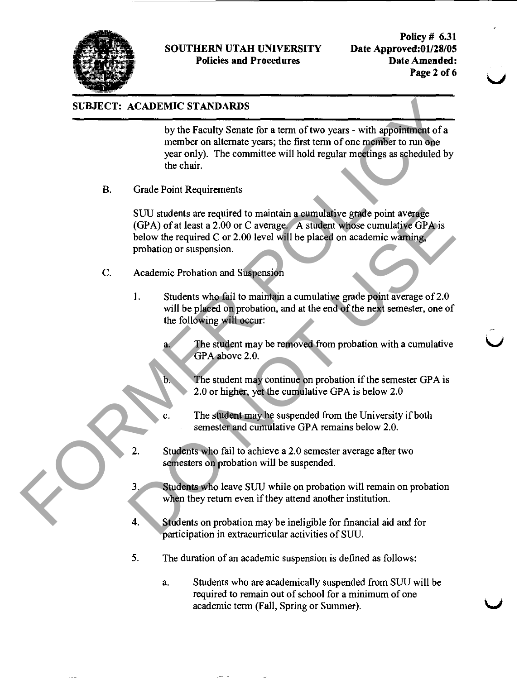

#### SOUTHERN UTAH UNIVERSITY Policies and Procedures

Policy # 6.31 Date Approved:01/28/05 Date Amended: Page 2 of 6

# SUBJECT: ACADEMIC STANDARDS

by the Faculty Senate for a term of two years - with appointment of a member on alternate years; the first term of one member to run one yeaz only). The committee will hold regulaz meetings as scheduled by the chair.

B. Grade Point Requirements

SUU students are required to maintain a cumulative grade point average (GPA) of at least a 2.00 or C average. A student whose cumulative GPA is below the required C or 2.00 level will be placed on academic warning, probation or suspension. **SUBJECT:** ACADEMIC STANDARDS<br>
by the Foculty Senate for a term of two years - with appointment of a<br>
member on alternate years; the first term of one aperment to run dips<br>
year entity. The committee will hold regular mee SUU students are required to maintain a eumulative grade point average<br>
(GPA) of at least a 2.00 or C average A student whose cumulative GPA is<br>
below the required C or 2.00 level will be placed on academic warning,<br>
prob

- C. Academic Probation and Suspension
	- 1. Students who fail to maintain a cumulative grade point average of 2.0 will be placed on probation, and at the end of the next semester, one of the following will occur:
		- The student may be removed from probation with a cumulative GPA above 2.0.
			- The student may continue on probation if the semester GPA is 2.0 or higher, yet the cumulative GPA is below 2.0
		- The student may be suspended from the University if both semester and cumulative GPA remains below 2.0.
	- 2. Students who fail to achieve a 2.0 semester average after two semesters on probation will be suspended.
	- 3. Students who leave SW while on probation will remain on probation when they return even if they attend another institution.
	- 4. Students on probation may be ineligible for financial aid and for participation in extracurricular activities of SUU.
	- 5. The duration of an academic suspension is defined as follows:
		- a. Students who are academically suspended from SUU will be required to remain out of school for a minimum of one academic term (Fall, Spring or Summer).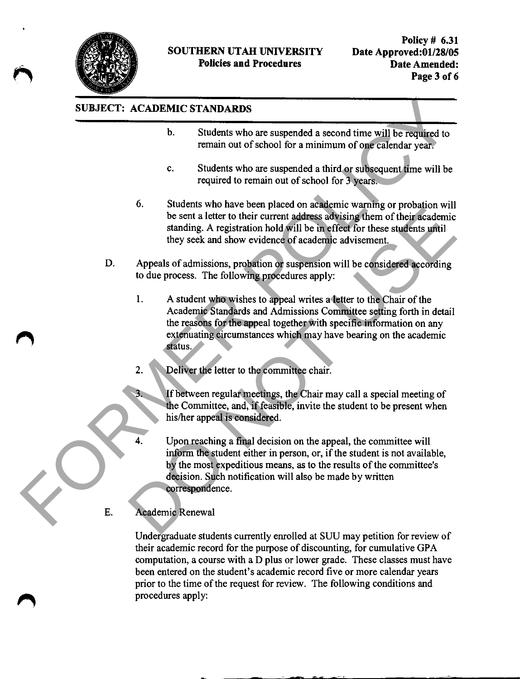

# SUBJECT: ACADEMIC STANDARDS

- b. Students who are suspended a second time will be required to remain out of school for a minimum of one calendar year.
- c. Students who are suspended a third or subsequent time will be required to remain out of school for 3 years.
- 6. Students who have been placed on academic warning or probation will be sent a letter to their current address advising them of their academic standing. A registration hold will be in effect for these students until they seek and show evidence of academic advisement.
- D. Appeals of admissions, probation or suspension will be considered according to due process. The following procedures apply:
- 1. A student who wishes to appeal writes a letter to the Chair of the Academic Standards and Admissions Committee setting forth in detail the reasons for the appeal together with specific information on any extenuating circumstances which may have bearing on the academic status. SUBJECT: ACADEMIC STANDARDS<br>
b. Students who are auspended a second time will be required to<br>
termin out of school for a minimum of operations year.<br>
c. Students who are suspended a during or probation will be<br>
required to be sent a letter to their current address advising them of their cacdemic<br>standing. A registration hold will be in effect for these students until<br>they seek and show evidence of academic advisement.<br>Appeals of admissions,
	- 2. Deliver the letter to the committee chair.

3. If between regulaz meetings, the Chair may call a special meeting of the Committee, and, if feasible, invite the student to be present when his/her appeal is considered.

Upon reaching a final decision on the appeal, the committee will inform the student either in person, or, if the student is not available, by the most expeditious means, as to the results of the committee's decision. Such notification will also be made by written correspondence.

E. Academic Renewal

Undergraduate students currently enrolled at SUU may petition for review of their academic record for the purpose of discounting, for cumulative GPA computation, a course with a D plus or lower grade. These classes must have been entered on the student's academic record five or more calendar yeazs prior to the time of the request for review. The following conditions and procedures apply: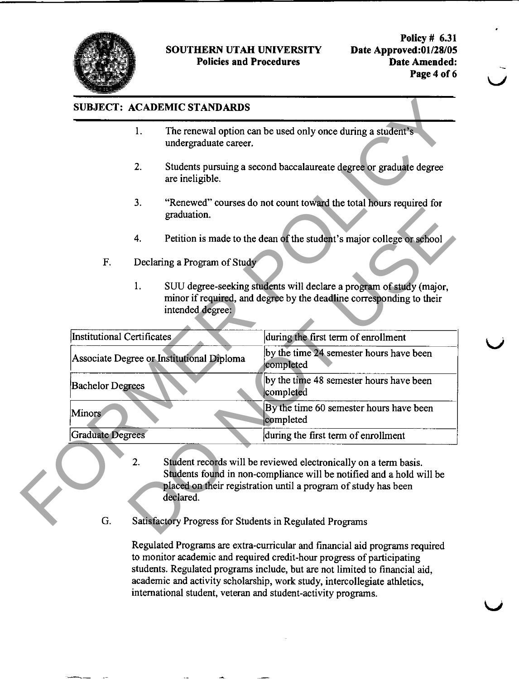

#### SOUTHERN UTAH UNIVERSITY Policies and Procedures

# SUBJECT: ACADEMIC STANDARDS

- 1. The renewal option can be used only once during a student's undergraduate career.
- 2. Students pursuing a second baccalaureate degree or graduate degree are ineligible.
- 3. "Renewed" courses do not count toward the total hours required for graduation.
- 4. Petition is made to the dean of the student's major college or school
- F. Declaring a Program of Study
	- 1. SUU degree-seeking students will declaze a program of study (major, minor if required, and degree by the deadline corresponding to their intended degree:

|                                   |                         | undergraduate career.                     | The renewal option can be used only once during a student's                                                                                 |
|-----------------------------------|-------------------------|-------------------------------------------|---------------------------------------------------------------------------------------------------------------------------------------------|
|                                   | 2.                      | are ineligible.                           | Students pursuing a second baccalaureate degree or graduate degree                                                                          |
|                                   | 3.                      | graduation.                               | "Renewed" courses do not count toward the total hours required for                                                                          |
|                                   | 4.                      |                                           | Petition is made to the dean of the student's major college or school                                                                       |
| F.                                |                         | Declaring a Program of Study              |                                                                                                                                             |
|                                   | 1.                      | intended degree:                          | SUU degree-seeking students will declare a program of study (major,<br>minor if required, and degree by the deadline corresponding to their |
| <b>Institutional Certificates</b> |                         |                                           | during the first term of enrollment                                                                                                         |
|                                   |                         | Associate Degree or Institutional Diploma | by the time 24 semester hours have been<br>completed                                                                                        |
| <b>Bachelor Degrees</b>           |                         |                                           | by the time 48 semester hours have been<br>completed                                                                                        |
| Minors                            |                         |                                           | By the time 60 semester hours have been<br>completed                                                                                        |
|                                   | <b>Graduate Degrees</b> |                                           | during the first term of enrollment                                                                                                         |

- 2. Student records will be reviewed electronically on a term basis. Students found in non-compliance will be notified and a hold will be placed on their registration until a program of study has been declared.
- G. Satisfactory Progress for Students in Regulated Programs

Regulated Programs aze extra-curricular and financial aid programs required to monitor academic and required credit-hour progress of participating students. Regulated programs include, but aze not limited to financial aid, academic and activity scholarship, work study, intercollegiate athletics, international student, veteran and student-activity programs.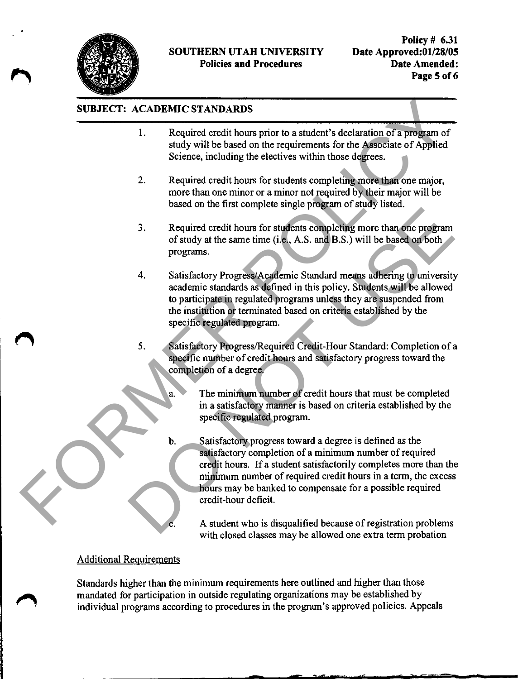

# SUBJECT: ACADEMIC STANDARDS

- 1. Required credit hours prior to a student's declazation of a program of study will be based on the requirements for the Associate of Applied Science, including the electives within those degrees.
- 2. Required credit hours for students completing more than one major, more than one minor or a minor not required by their major will be based on the first complete single program of study listed.
- 3. Required credit hours for students completing more than one program of study at the same time (i.e., A.S. and B.S.) will be based on both programs.
- 4. Satisfactory Progress/Academic Standazd means adhering to university academic standards as defined in this policy. Students will be allowed to participate in regulated programs unless they are suspended from the institution or terminated based on criteria established by the specific regulated program. 3. Required credit hours for students completing more than one program<br>of study at the same time (i.e., A.S. and B.S.) will be based on both<br>programs.<br>Satisfactory Progress/Acedemic Standard means adhering to university<br>ac
	- 5. Satisfactory Progress/Required Credit-Hour Standazd: Completion of a specific number of credit hours and satisfactory progress toward the completion of a degree.

The minimum number of credit hours that must be completed in a satisfactory manner is based on criteria established by the specific regulated program.

b. Satisfactory progress towazd a degree is defined as the satisfactory completion of a minimum number of required credit hours. If a student satisfactorily completes more than the minimum number of required credit hours in a term, the excess hours may be banked to compensate for a possible required credit-hour deficit. SUBJECT: ACADEMIC STANDARDS<br>
1. Required credit hours prior to a student's declaration of a program of<br>
study will be shost on the required ensignements for the ASSO<br>
2. Required credit hours for students completing more t

A student who is disqualified because of registration problems with closed classes may be allowed one extra term probation

#### Additional Requirements

Standazds higher than the minimum requirements here outlined and higher than those mandated for participation in outside regulating organizations may be established by individual programs according to procedures in the program's approved policies. Appeals